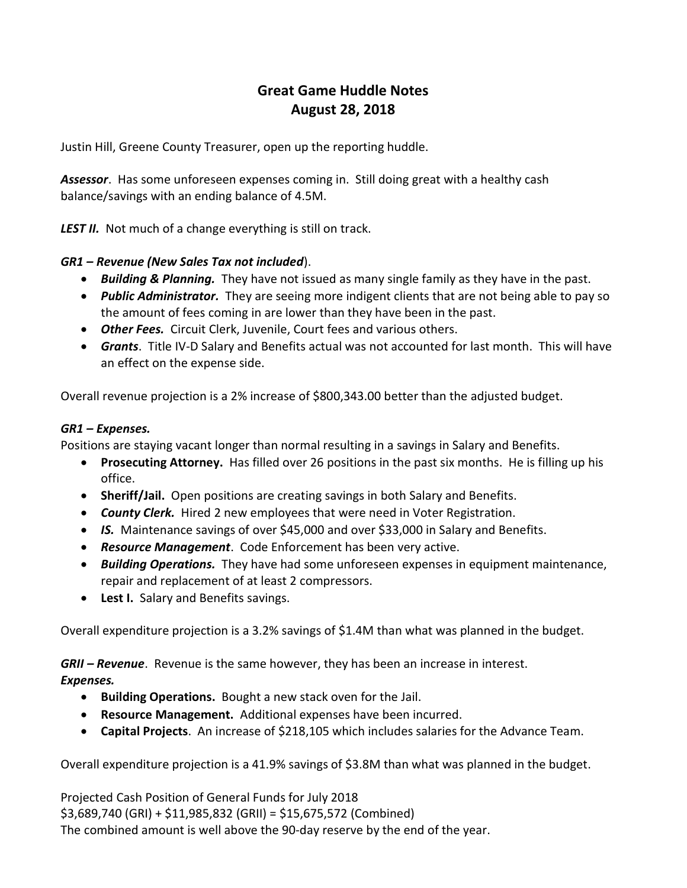## Great Game Huddle Notes August 28, 2018

Justin Hill, Greene County Treasurer, open up the reporting huddle.

**Assessor.** Has some unforeseen expenses coming in. Still doing great with a healthy cash balance/savings with an ending balance of 4.5M.

LEST II. Not much of a change everything is still on track.

## GR1 – Revenue (New Sales Tax not included).

- Building & Planning. They have not issued as many single family as they have in the past.
- Public Administrator. They are seeing more indigent clients that are not being able to pay so the amount of fees coming in are lower than they have been in the past.
- Other Fees. Circuit Clerk, Juvenile, Court fees and various others.
- **Grants**. Title IV-D Salary and Benefits actual was not accounted for last month. This will have an effect on the expense side.

Overall revenue projection is a 2% increase of \$800,343.00 better than the adjusted budget.

## GR1 – Expenses.

Positions are staying vacant longer than normal resulting in a savings in Salary and Benefits.

- Prosecuting Attorney. Has filled over 26 positions in the past six months. He is filling up his office.
- Sheriff/Jail. Open positions are creating savings in both Salary and Benefits.
- County Clerk. Hired 2 new employees that were need in Voter Registration.
- IS. Maintenance savings of over \$45,000 and over \$33,000 in Salary and Benefits.
- Resource Management. Code Enforcement has been very active.
- Building Operations. They have had some unforeseen expenses in equipment maintenance, repair and replacement of at least 2 compressors.
- Lest I. Salary and Benefits savings.

Overall expenditure projection is a 3.2% savings of \$1.4M than what was planned in the budget.

GRII – Revenue. Revenue is the same however, they has been an increase in interest.

## Expenses.

- Building Operations. Bought a new stack oven for the Jail.
- Resource Management. Additional expenses have been incurred.
- Capital Projects. An increase of \$218,105 which includes salaries for the Advance Team.

Overall expenditure projection is a 41.9% savings of \$3.8M than what was planned in the budget.

Projected Cash Position of General Funds for July 2018 \$3,689,740 (GRI) + \$11,985,832 (GRII) = \$15,675,572 (Combined) The combined amount is well above the 90-day reserve by the end of the year.